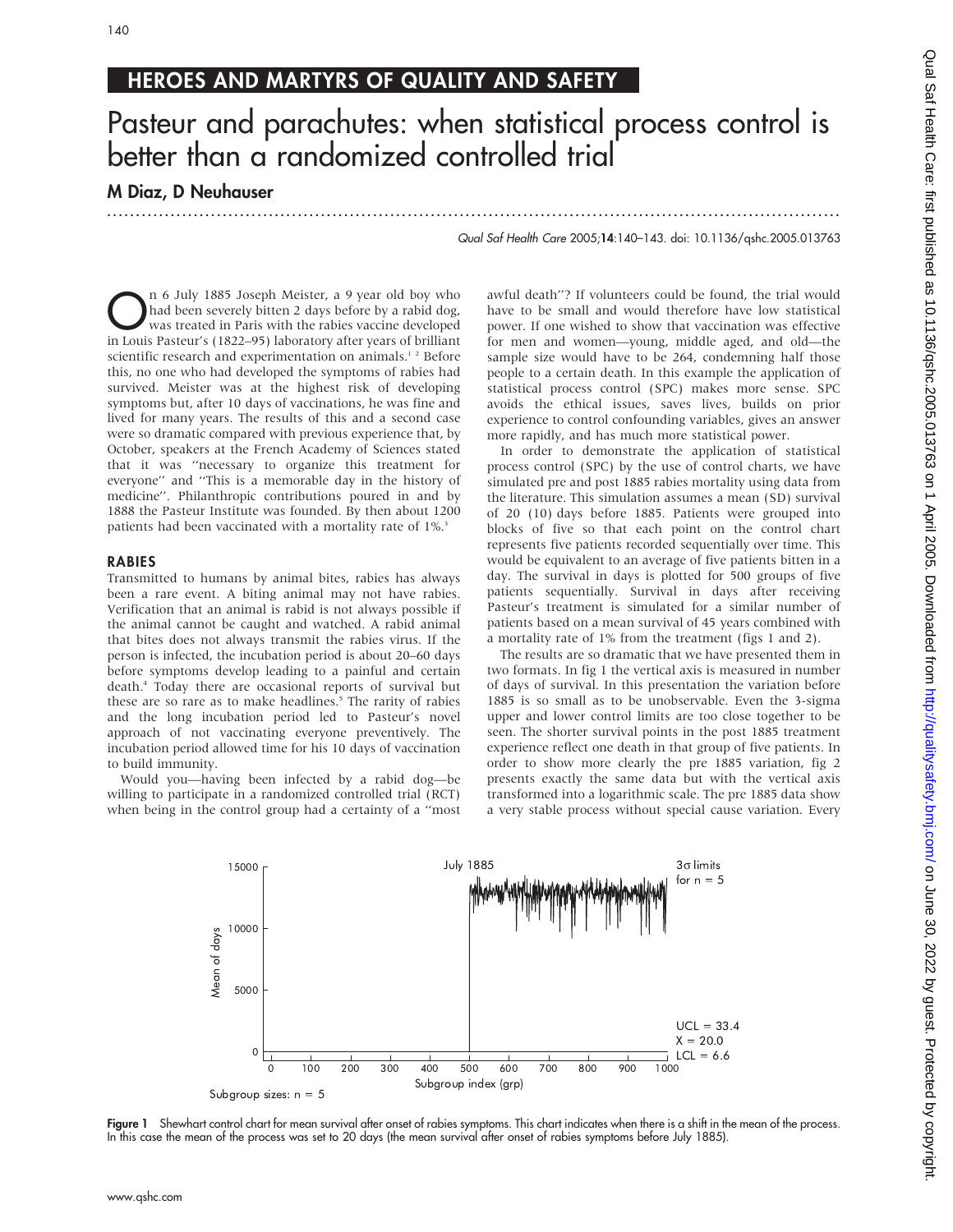## HEROES AND MARTYRS OF QUALITY AND SAFETY

# Pasteur and parachutes: when statistical process control is better than a randomized controlled trial

...............................................................................................................................

### M Diaz, D Neuhauser

140

Qual Saf Health Care 2005;14:140–143. doi: 10.1136/qshc.2005.013763

n 6 July 1885 Joseph Meister, a 9 year old boy who<br>had been severely bitten 2 days before by a rabid dog,<br>was treated in Paris with the rabies vaccine developed<br>in Louis Bastaur's (1822-05) laboratory after years of brilli had been severely bitten 2 days before by a rabid dog, in Louis Pasteur's (1822–95) laboratory after years of brilliant scientific research and experimentation on animals.<sup>12</sup> Before this, no one who had developed the symptoms of rabies had survived. Meister was at the highest risk of developing symptoms but, after 10 days of vaccinations, he was fine and lived for many years. The results of this and a second case were so dramatic compared with previous experience that, by October, speakers at the French Academy of Sciences stated that it was ''necessary to organize this treatment for everyone'' and ''This is a memorable day in the history of medicine''. Philanthropic contributions poured in and by 1888 the Pasteur Institute was founded. By then about 1200 patients had been vaccinated with a mortality rate of 1%.3

#### RABIES

Transmitted to humans by animal bites, rabies has always been a rare event. A biting animal may not have rabies. Verification that an animal is rabid is not always possible if the animal cannot be caught and watched. A rabid animal that bites does not always transmit the rabies virus. If the person is infected, the incubation period is about 20–60 days before symptoms develop leading to a painful and certain death.4 Today there are occasional reports of survival but these are so rare as to make headlines.<sup>5</sup> The rarity of rabies and the long incubation period led to Pasteur's novel approach of not vaccinating everyone preventively. The incubation period allowed time for his 10 days of vaccination to build immunity.

Would you—having been infected by a rabid dog—be willing to participate in a randomized controlled trial (RCT) when being in the control group had a certainty of a ''most awful death''? If volunteers could be found, the trial would have to be small and would therefore have low statistical power. If one wished to show that vaccination was effective for men and women—young, middle aged, and old—the sample size would have to be 264, condemning half those people to a certain death. In this example the application of statistical process control (SPC) makes more sense. SPC avoids the ethical issues, saves lives, builds on prior experience to control confounding variables, gives an answer more rapidly, and has much more statistical power.

In order to demonstrate the application of statistical process control (SPC) by the use of control charts, we have simulated pre and post 1885 rabies mortality using data from the literature. This simulation assumes a mean (SD) survival of 20 (10) days before 1885. Patients were grouped into blocks of five so that each point on the control chart represents five patients recorded sequentially over time. This would be equivalent to an average of five patients bitten in a day. The survival in days is plotted for 500 groups of five patients sequentially. Survival in days after receiving Pasteur's treatment is simulated for a similar number of patients based on a mean survival of 45 years combined with a mortality rate of 1% from the treatment (figs 1 and 2).

The results are so dramatic that we have presented them in two formats. In fig 1 the vertical axis is measured in number of days of survival. In this presentation the variation before 1885 is so small as to be unobservable. Even the 3-sigma upper and lower control limits are too close together to be seen. The shorter survival points in the post 1885 treatment experience reflect one death in that group of five patients. In order to show more clearly the pre 1885 variation, fig 2 presents exactly the same data but with the vertical axis transformed into a logarithmic scale. The pre 1885 data show a very stable process without special cause variation. Every



Figure 1 Shewhart control chart for mean survival after onset of rabies symptoms. This chart indicates when there is a shift in the mean of the process. In this case the mean of the process was set to 20 days (the mean survival after onset of rabies symptoms before July 1885).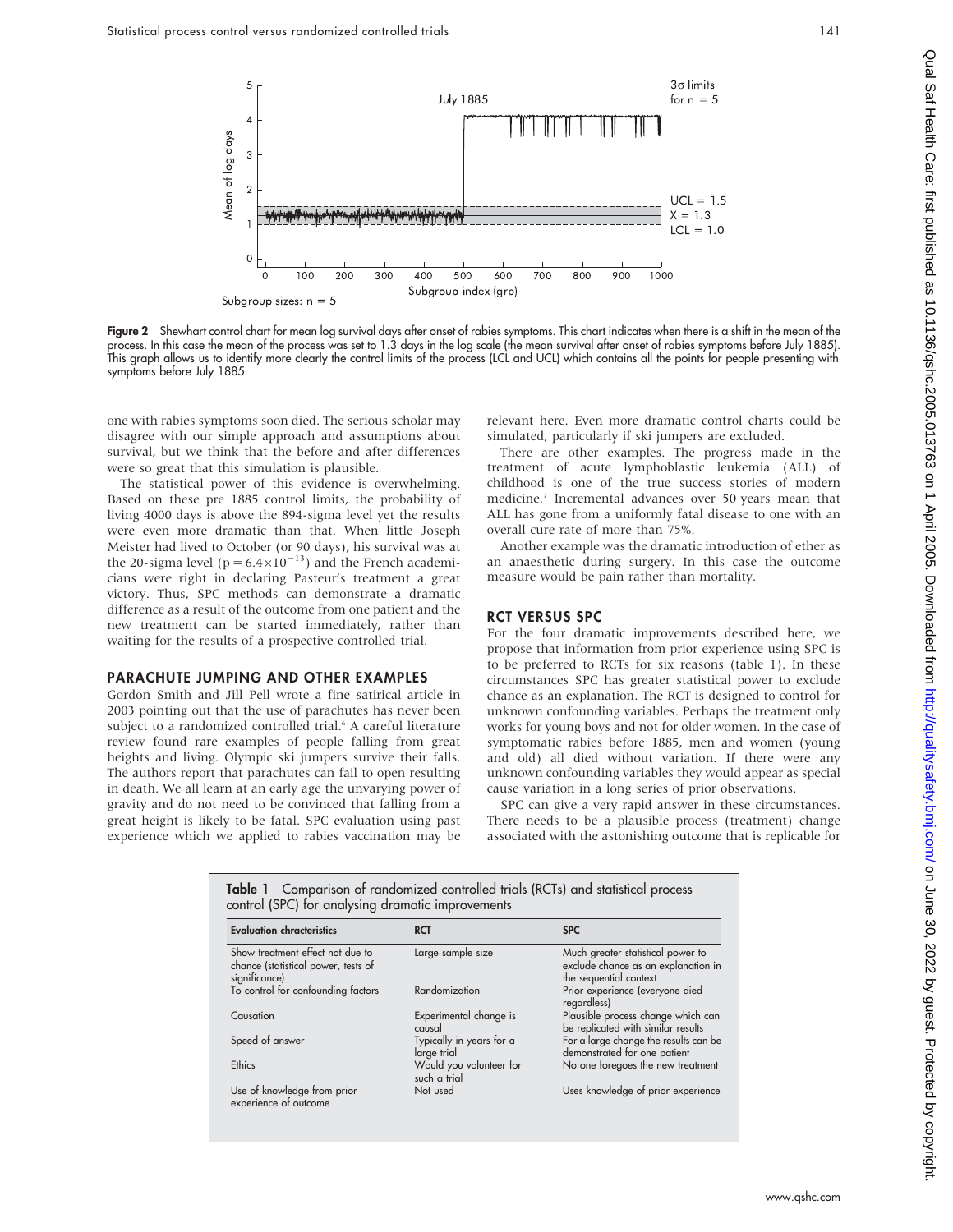

Figure 2 Shewhart control chart for mean log survival days after onset of rabies symptoms. This chart indicates when there is a shift in the mean of the process. In this case the mean of the process was set to 1.3 days in the log scale (the mean survival after onset of rabies symptoms before July 1885). This graph allows us to identify more clearly the control limits of the process (LCL and UCL) which contains all the points for people presenting with symptoms before July 1885.

one with rabies symptoms soon died. The serious scholar may disagree with our simple approach and assumptions about survival, but we think that the before and after differences were so great that this simulation is plausible.

The statistical power of this evidence is overwhelming. Based on these pre 1885 control limits, the probability of living 4000 days is above the 894-sigma level yet the results were even more dramatic than that. When little Joseph Meister had lived to October (or 90 days), his survival was at the 20-sigma level ( $p = 6.4 \times 10^{-13}$ ) and the French academicians were right in declaring Pasteur's treatment a great victory. Thus, SPC methods can demonstrate a dramatic difference as a result of the outcome from one patient and the new treatment can be started immediately, rather than waiting for the results of a prospective controlled trial.

#### PARACHUTE JUMPING AND OTHER EXAMPLES

Gordon Smith and Jill Pell wrote a fine satirical article in 2003 pointing out that the use of parachutes has never been subject to a randomized controlled trial.<sup>6</sup> A careful literature review found rare examples of people falling from great heights and living. Olympic ski jumpers survive their falls. The authors report that parachutes can fail to open resulting in death. We all learn at an early age the unvarying power of gravity and do not need to be convinced that falling from a great height is likely to be fatal. SPC evaluation using past experience which we applied to rabies vaccination may be

relevant here. Even more dramatic control charts could be simulated, particularly if ski jumpers are excluded.

There are other examples. The progress made in the treatment of acute lymphoblastic leukemia (ALL) of childhood is one of the true success stories of modern medicine.7 Incremental advances over 50 years mean that ALL has gone from a uniformly fatal disease to one with an overall cure rate of more than 75%.

Another example was the dramatic introduction of ether as an anaesthetic during surgery. In this case the outcome measure would be pain rather than mortality.

#### RCT VERSUS SPC

For the four dramatic improvements described here, we propose that information from prior experience using SPC is to be preferred to RCTs for six reasons (table 1). In these circumstances SPC has greater statistical power to exclude chance as an explanation. The RCT is designed to control for unknown confounding variables. Perhaps the treatment only works for young boys and not for older women. In the case of symptomatic rabies before 1885, men and women (young and old) all died without variation. If there were any unknown confounding variables they would appear as special cause variation in a long series of prior observations.

SPC can give a very rapid answer in these circumstances. There needs to be a plausible process (treatment) change associated with the astonishing outcome that is replicable for

| <b>Evaluation chracteristics</b>                                                         | <b>RCT</b>                              | <b>SPC</b>                                                                                         |
|------------------------------------------------------------------------------------------|-----------------------------------------|----------------------------------------------------------------------------------------------------|
| Show treatment effect not due to<br>chance (statistical power, tests of<br>significance) | Large sample size                       | Much greater statistical power to<br>exclude chance as an explanation in<br>the sequential context |
| To control for confounding factors                                                       | Randomization                           | Prior experience (everyone died<br>regardless)                                                     |
| Causation                                                                                | Experimental change is<br>causal        | Plausible process change which can<br>be replicated with similar results                           |
| Speed of answer                                                                          | Typically in years for a<br>large trial | For a large change the results can be<br>demonstrated for one patient                              |
| Ethics                                                                                   | Would you volunteer for<br>such a trial | No one foregoes the new treatment                                                                  |
| Use of knowledge from prior<br>experience of outcome                                     | Not used                                | Uses knowledge of prior experience                                                                 |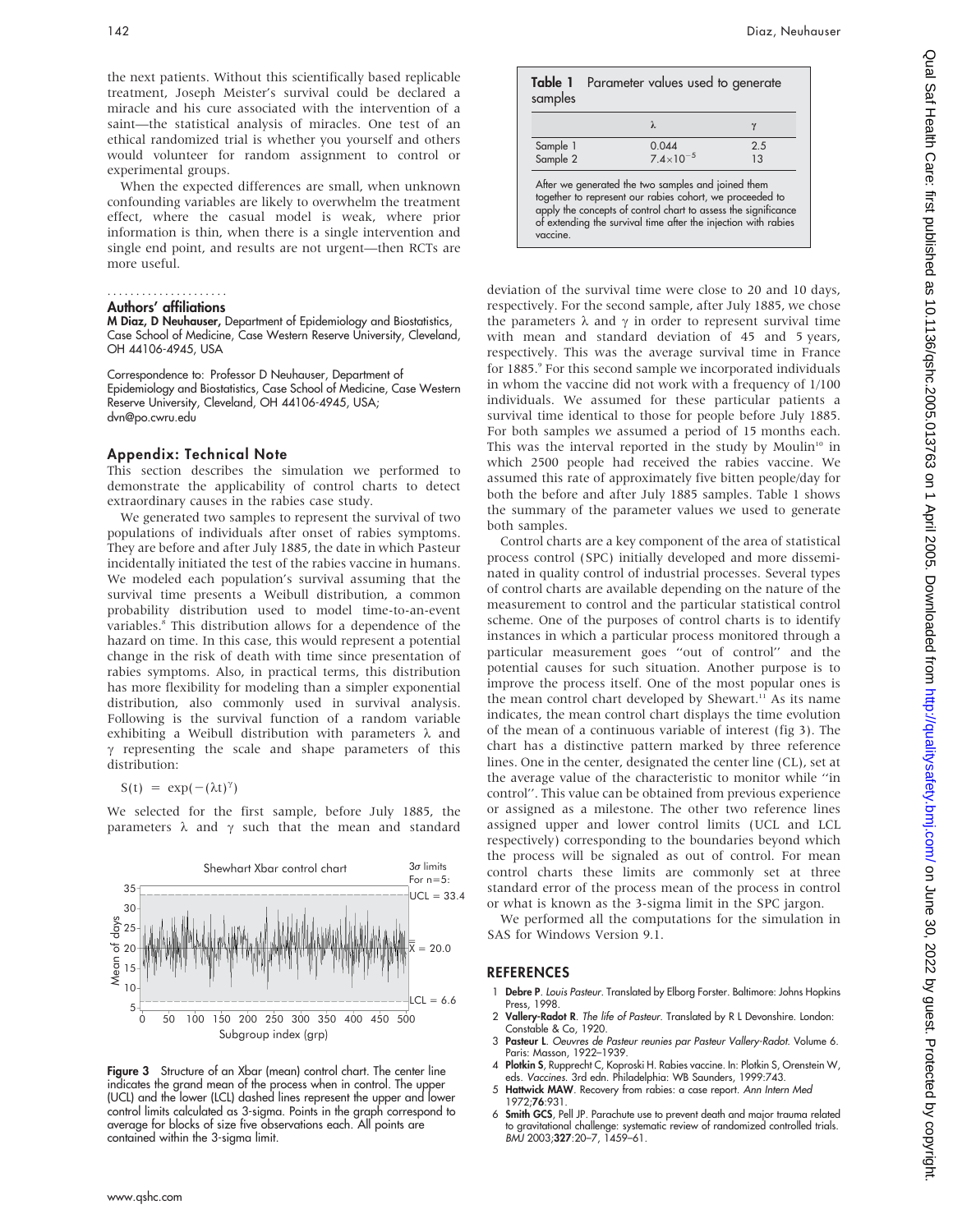the next patients. Without this scientifically based replicable treatment, Joseph Meister's survival could be declared a miracle and his cure associated with the intervention of a saint—the statistical analysis of miracles. One test of an ethical randomized trial is whether you yourself and others would volunteer for random assignment to control or experimental groups.

When the expected differences are small, when unknown confounding variables are likely to overwhelm the treatment effect, where the casual model is weak, where prior information is thin, when there is a single intervention and single end point, and results are not urgent—then RCTs are more useful.

#### Authors' affiliations .....................

M Diaz, D Neuhauser, Department of Epidemiology and Biostatistics, Case School of Medicine, Case Western Reserve University, Cleveland, OH 44106-4945, USA

Correspondence to: Professor D Neuhauser, Department of Epidemiology and Biostatistics, Case School of Medicine, Case Western Reserve University, Cleveland, OH 44106-4945, USA; dvn@po.cwru.edu

#### Appendix: Technical Note

This section describes the simulation we performed to demonstrate the applicability of control charts to detect extraordinary causes in the rabies case study.

We generated two samples to represent the survival of two populations of individuals after onset of rabies symptoms. They are before and after July 1885, the date in which Pasteur incidentally initiated the test of the rabies vaccine in humans. We modeled each population's survival assuming that the survival time presents a Weibull distribution, a common probability distribution used to model time-to-an-event variables.<sup>8</sup> This distribution allows for a dependence of the hazard on time. In this case, this would represent a potential change in the risk of death with time since presentation of rabies symptoms. Also, in practical terms, this distribution has more flexibility for modeling than a simpler exponential distribution, also commonly used in survival analysis. Following is the survival function of a random variable exhibiting a Weibull distribution with parameters  $\lambda$  and  $\gamma$  representing the scale and shape parameters of this distribution:

 $S(t) = \exp(-(\lambda t)^{\gamma})$ 

We selected for the first sample, before July 1885, the parameters  $\lambda$  and  $\gamma$  such that the mean and standard



Figure 3 Structure of an Xbar (mean) control chart. The center line indicates the grand mean of the process when in control. The upper (UCL) and the lower (LCL) dashed lines represent the upper and lower control limits calculated as 3-sigma. Points in the graph correspond to average for blocks of size five observations each. All points are contained within the 3-sigma limit.

| samples              | Table 1 Parameter values used to generate                                                                                                                                                                                                          |           |
|----------------------|----------------------------------------------------------------------------------------------------------------------------------------------------------------------------------------------------------------------------------------------------|-----------|
|                      |                                                                                                                                                                                                                                                    |           |
| Sample 1<br>Sample 2 | 0.044<br>$7.4 \times 10^{-5}$                                                                                                                                                                                                                      | 2.5<br>13 |
| vaccine.             | After we generated the two samples and joined them<br>together to represent our rabies cohort, we proceeded to<br>apply the concepts of control chart to assess the significance<br>of extending the survival time after the injection with rabies |           |

deviation of the survival time were close to 20 and 10 days, respectively. For the second sample, after July 1885, we chose the parameters  $\lambda$  and  $\gamma$  in order to represent survival time with mean and standard deviation of 45 and 5 years, respectively. This was the average survival time in France for 1885.9 For this second sample we incorporated individuals in whom the vaccine did not work with a frequency of 1/100 individuals. We assumed for these particular patients a survival time identical to those for people before July 1885. For both samples we assumed a period of 15 months each. This was the interval reported in the study by Moulin<sup>10</sup> in which 2500 people had received the rabies vaccine. We assumed this rate of approximately five bitten people/day for both the before and after July 1885 samples. Table 1 shows the summary of the parameter values we used to generate both samples.

Control charts are a key component of the area of statistical process control (SPC) initially developed and more disseminated in quality control of industrial processes. Several types of control charts are available depending on the nature of the measurement to control and the particular statistical control scheme. One of the purposes of control charts is to identify instances in which a particular process monitored through a particular measurement goes ''out of control'' and the potential causes for such situation. Another purpose is to improve the process itself. One of the most popular ones is the mean control chart developed by Shewart.<sup>11</sup> As its name indicates, the mean control chart displays the time evolution of the mean of a continuous variable of interest (fig 3). The chart has a distinctive pattern marked by three reference lines. One in the center, designated the center line (CL), set at the average value of the characteristic to monitor while ''in control''. This value can be obtained from previous experience or assigned as a milestone. The other two reference lines assigned upper and lower control limits (UCL and LCL respectively) corresponding to the boundaries beyond which the process will be signaled as out of control. For mean control charts these limits are commonly set at three standard error of the process mean of the process in control or what is known as the 3-sigma limit in the SPC jargon.

We performed all the computations for the simulation in SAS for Windows Version 9.1.

#### **REFERENCES**

- 1 Debre P. Louis Pasteur. Translated by Elborg Forster. Baltimore: Johns Hopkins Press, 1998.
- 2 Vallery-Radot R. The life of Pasteur. Translated by R L Devonshire. London: Constable & Co, 1920.
- 3 Pasteur L. Oeuvres de Pasteur reunies par Pasteur Vallery-Radot. Volume 6. Paris: Masson, 1922–1939.
- 4 Plotkin S, Rupprecht C, Koproski H. Rabies vaccine. In: Plotkin S, Orenstein W, eds. Vaccines. 3rd edn. Philadelphia: WB Saunders, 1999:743.
- 5 Hattwick MAW. Recovery from rabies: a case report. Ann Intern Med 1972;76:931
- 6 Smith GCS, Pell JP. Parachute use to prevent death and major trauma related to gravitational challenge: systematic review of randomized controlled trials. BMJ 2003;327:20–7, 1459–61.